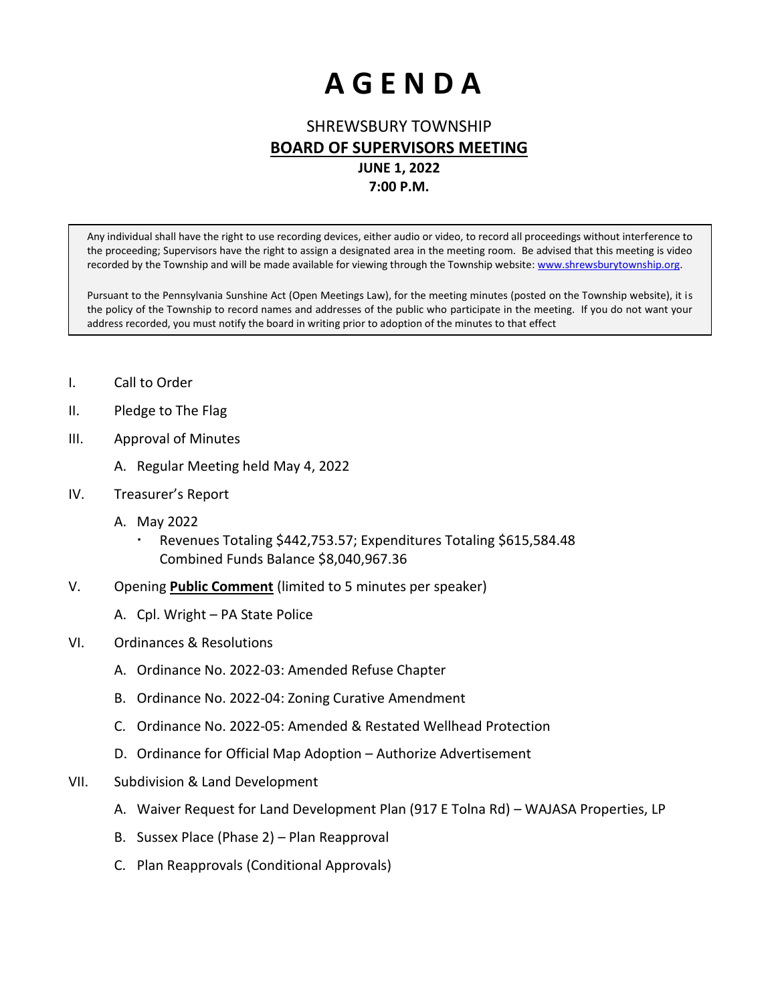# **A G E N D A**

### SHREWSBURY TOWNSHIP **BOARD OF SUPERVISORS MEETING**

# **JUNE 1, 2022**

**7:00 P.M.**

Any individual shall have the right to use recording devices, either audio or video, to record all proceedings without interference to the proceeding; Supervisors have the right to assign a designated area in the meeting room. Be advised that this meeting is video recorded by the Township and will be made available for viewing through the Township website: www.shrewsburytownship.org.

Pursuant to the Pennsylvania Sunshine Act (Open Meetings Law), for the meeting minutes (posted on the Township website), it is the policy of the Township to record names and addresses of the public who participate in the meeting. If you do not want your address recorded, you must notify the board in writing prior to adoption of the minutes to that effect

- I. Call to Order
- II. Pledge to The Flag
- III. Approval of Minutes
	- A. Regular Meeting held May 4, 2022
- IV. Treasurer's Report
	- A. May 2022
		- Revenues Totaling \$442,753.57; Expenditures Totaling \$615,584.48 Combined Funds Balance \$8,040,967.36
- V. Opening **Public Comment** (limited to 5 minutes per speaker)
	- A. Cpl. Wright PA State Police
- VI. Ordinances & Resolutions
	- A. Ordinance No. 2022-03: Amended Refuse Chapter
	- B. Ordinance No. 2022-04: Zoning Curative Amendment
	- C. Ordinance No. 2022-05: Amended & Restated Wellhead Protection
	- D. Ordinance for Official Map Adoption Authorize Advertisement
- VII. Subdivision & Land Development
	- A. Waiver Request for Land Development Plan (917 E Tolna Rd) WAJASA Properties, LP
	- B. Sussex Place (Phase 2) Plan Reapproval
	- C. Plan Reapprovals (Conditional Approvals)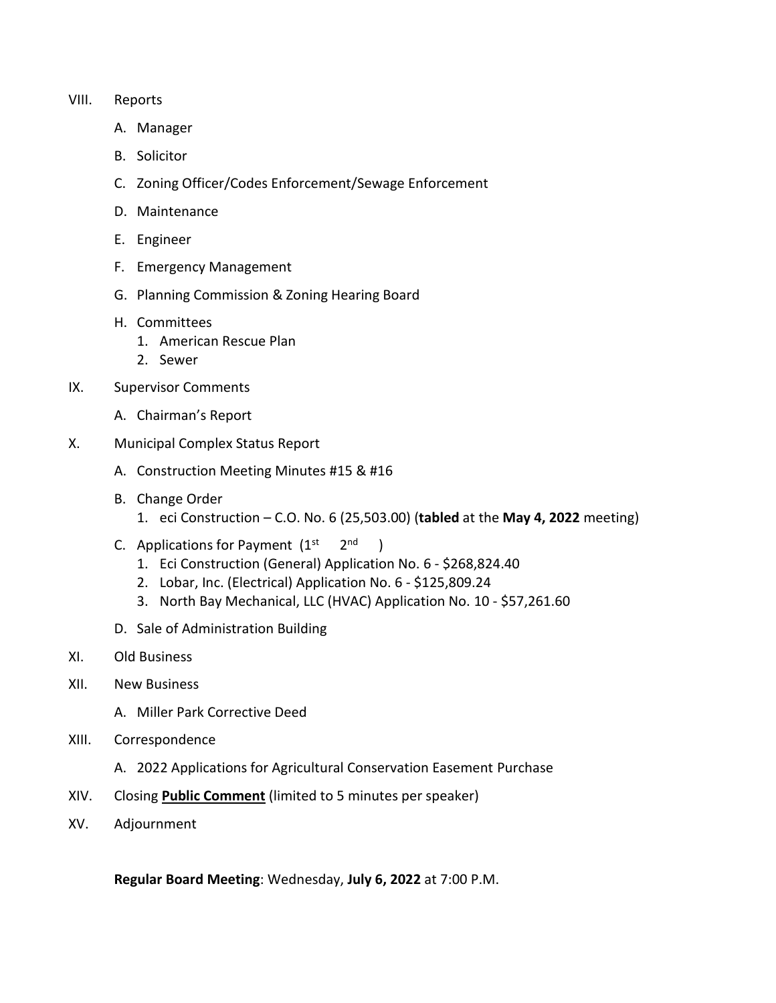#### VIII. Reports

- A. Manager
- B. Solicitor
- C. Zoning Officer/Codes Enforcement/Sewage Enforcement
- D. Maintenance
- E. Engineer
- F. Emergency Management
- G. Planning Commission & Zoning Hearing Board
- H. Committees
	- 1. American Rescue Plan
	- 2. Sewer
- IX. Supervisor Comments
	- A. Chairman's Report
- X. Municipal Complex Status Report
	- A. Construction Meeting Minutes #15 & #16
	- B. Change Order
		- 1. eci Construction C.O. No. 6 (25,503.00) (**tabled** at the **May 4, 2022** meeting)
	- C. Applications for Payment  $(1<sup>st</sup>$  $2<sup>nd</sup>$  )
		- 1. Eci Construction (General) Application No. 6 \$268,824.40
		- 2. Lobar, Inc. (Electrical) Application No. 6 \$125,809.24
		- 3. North Bay Mechanical, LLC (HVAC) Application No. 10 \$57,261.60
	- D. Sale of Administration Building
- XI. Old Business
- XII. New Business
	- A. Miller Park Corrective Deed
- XIII. Correspondence
	- A. 2022 Applications for Agricultural Conservation Easement Purchase
- XIV. Closing **Public Comment** (limited to 5 minutes per speaker)
- XV. Adjournment

**Regular Board Meeting**: Wednesday, **July 6, 2022** at 7:00 P.M.